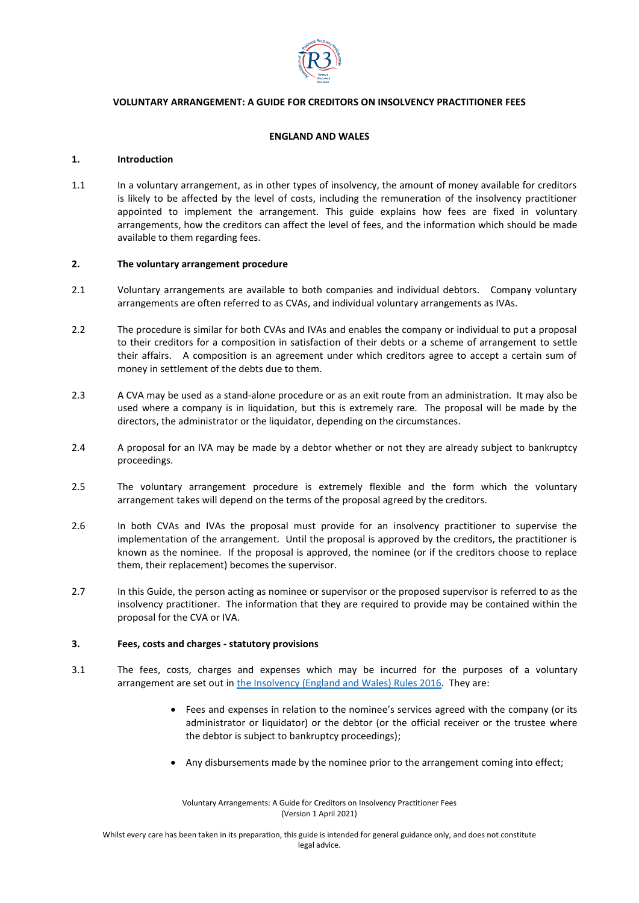

# **VOLUNTARY ARRANGEMENT: A GUIDE FOR CREDITORS ON INSOLVENCY PRACTITIONER FEES**

# **ENGLAND AND WALES**

## **1. Introduction**

1.1 In a voluntary arrangement, as in other types of insolvency, the amount of money available for creditors is likely to be affected by the level of costs, including the remuneration of the insolvency practitioner appointed to implement the arrangement. This guide explains how fees are fixed in voluntary arrangements, how the creditors can affect the level of fees, and the information which should be made available to them regarding fees.

### **2. The voluntary arrangement procedure**

- 2.1 Voluntary arrangements are available to both companies and individual debtors. Company voluntary arrangements are often referred to as CVAs, and individual voluntary arrangements as IVAs.
- 2.2 The procedure is similar for both CVAs and IVAs and enables the company or individual to put a proposal to their creditors for a composition in satisfaction of their debts or a scheme of arrangement to settle their affairs. A composition is an agreement under which creditors agree to accept a certain sum of money in settlement of the debts due to them.
- 2.3 A CVA may be used as a stand-alone procedure or as an exit route from an administration. It may also be used where a company is in liquidation, but this is extremely rare. The proposal will be made by the directors, the administrator or the liquidator, depending on the circumstances.
- 2.4 A proposal for an IVA may be made by a debtor whether or not they are already subject to bankruptcy proceedings.
- 2.5 The voluntary arrangement procedure is extremely flexible and the form which the voluntary arrangement takes will depend on the terms of the proposal agreed by the creditors.
- 2.6 In both CVAs and IVAs the proposal must provide for an insolvency practitioner to supervise the implementation of the arrangement. Until the proposal is approved by the creditors, the practitioner is known as the nominee. If the proposal is approved, the nominee (or if the creditors choose to replace them, their replacement) becomes the supervisor.
- 2.7 In this Guide, the person acting as nominee or supervisor or the proposed supervisor is referred to as the insolvency practitioner. The information that they are required to provide may be contained within the proposal for the CVA or IVA.

#### **3. Fees, costs and charges - statutory provisions**

- 3.1 The fees, costs, charges and expenses which may be incurred for the purposes of a voluntary arrangement are set out i[n the Insolvency \(England and Wales\) Rules 2016.](https://www.legislation.gov.uk/uksi/2016/1024/contents/made) They are:
	- Fees and expenses in relation to the nominee's services agreed with the company (or its administrator or liquidator) or the debtor (or the official receiver or the trustee where the debtor is subject to bankruptcy proceedings);
	- Any disbursements made by the nominee prior to the arrangement coming into effect;

Voluntary Arrangements: A Guide for Creditors on Insolvency Practitioner Fees (Version 1 April 2021)

Whilst every care has been taken in its preparation, this guide is intended for general guidance only, and does not constitute legal advice.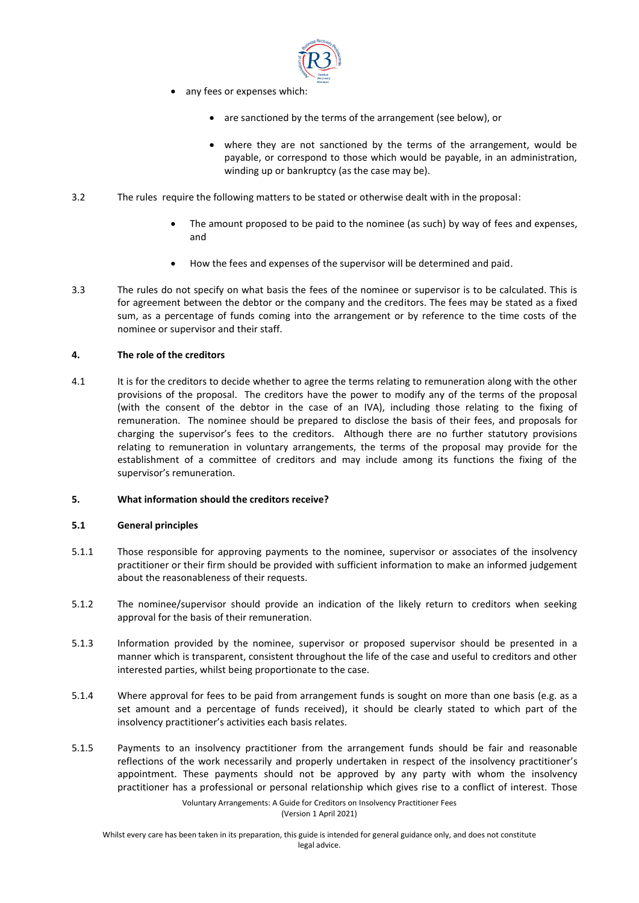

- any fees or expenses which:
	- are sanctioned by the terms of the arrangement (see below), or
	- where they are not sanctioned by the terms of the arrangement, would be payable, or correspond to those which would be payable, in an administration, winding up or bankruptcy (as the case may be).
- 3.2 The rules require the following matters to be stated or otherwise dealt with in the proposal:
	- The amount proposed to be paid to the nominee (as such) by way of fees and expenses, and
	- How the fees and expenses of the supervisor will be determined and paid.
- 3.3 The rules do not specify on what basis the fees of the nominee or supervisor is to be calculated. This is for agreement between the debtor or the company and the creditors. The fees may be stated as a fixed sum, as a percentage of funds coming into the arrangement or by reference to the time costs of the nominee or supervisor and their staff.

## **4. The role of the creditors**

4.1 It is for the creditors to decide whether to agree the terms relating to remuneration along with the other provisions of the proposal. The creditors have the power to modify any of the terms of the proposal (with the consent of the debtor in the case of an IVA), including those relating to the fixing of remuneration. The nominee should be prepared to disclose the basis of their fees, and proposals for charging the supervisor's fees to the creditors. Although there are no further statutory provisions relating to remuneration in voluntary arrangements, the terms of the proposal may provide for the establishment of a committee of creditors and may include among its functions the fixing of the supervisor's remuneration.

#### **5. What information should the creditors receive?**

#### **5.1 General principles**

- 5.1.1 Those responsible for approving payments to the nominee, supervisor or associates of the insolvency practitioner or their firm should be provided with sufficient information to make an informed judgement about the reasonableness of their requests.
- 5.1.2 The nominee/supervisor should provide an indication of the likely return to creditors when seeking approval for the basis of their remuneration.
- 5.1.3 Information provided by the nominee, supervisor or proposed supervisor should be presented in a manner which is transparent, consistent throughout the life of the case and useful to creditors and other interested parties, whilst being proportionate to the case.
- 5.1.4 Where approval for fees to be paid from arrangement funds is sought on more than one basis (e.g. as a set amount and a percentage of funds received), it should be clearly stated to which part of the insolvency practitioner's activities each basis relates.
- 5.1.5 Payments to an insolvency practitioner from the arrangement funds should be fair and reasonable reflections of the work necessarily and properly undertaken in respect of the insolvency practitioner's appointment. These payments should not be approved by any party with whom the insolvency practitioner has a professional or personal relationship which gives rise to a conflict of interest. Those

Voluntary Arrangements: A Guide for Creditors on Insolvency Practitioner Fees (Version 1 April 2021)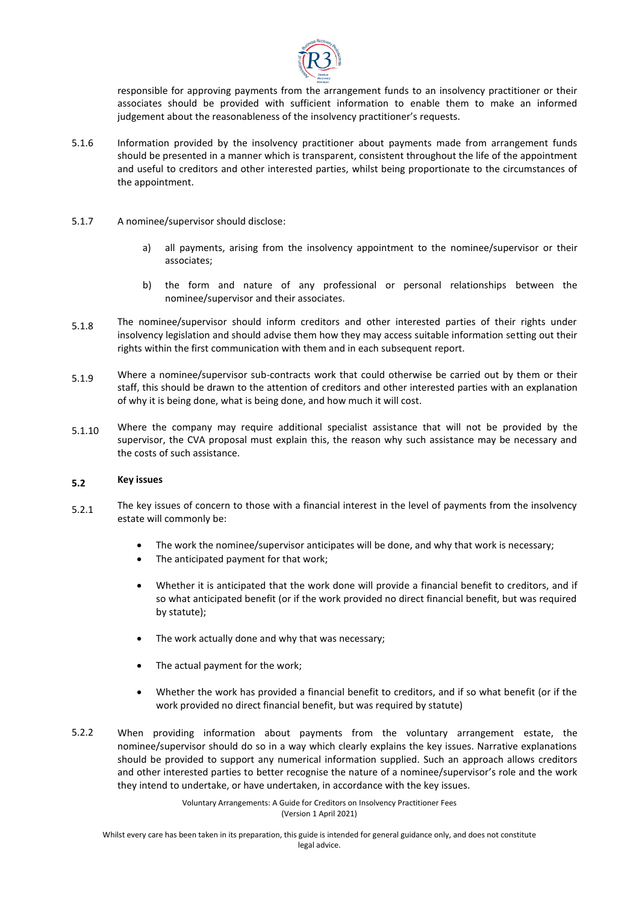

responsible for approving payments from the arrangement funds to an insolvency practitioner or their associates should be provided with sufficient information to enable them to make an informed judgement about the reasonableness of the insolvency practitioner's requests.

- 5.1.6 Information provided by the insolvency practitioner about payments made from arrangement funds should be presented in a manner which is transparent, consistent throughout the life of the appointment and useful to creditors and other interested parties, whilst being proportionate to the circumstances of the appointment.
- 5.1.7 A nominee/supervisor should disclose:
	- a) all payments, arising from the insolvency appointment to the nominee/supervisor or their associates;
	- b) the form and nature of any professional or personal relationships between the nominee/supervisor and their associates.
- 5.1.8 The nominee/supervisor should inform creditors and other interested parties of their rights under insolvency legislation and should advise them how they may access suitable information setting out their rights within the first communication with them and in each subsequent report.
- 5.1.9 Where a nominee/supervisor sub-contracts work that could otherwise be carried out by them or their staff, this should be drawn to the attention of creditors and other interested parties with an explanation of why it is being done, what is being done, and how much it will cost.
- 5.1.10 Where the company may require additional specialist assistance that will not be provided by the supervisor, the CVA proposal must explain this, the reason why such assistance may be necessary and the costs of such assistance.

#### **5.2 Key issues**

- 5.2.1 The key issues of concern to those with a financial interest in the level of payments from the insolvency estate will commonly be:
	- The work the nominee/supervisor anticipates will be done, and why that work is necessary;
	- The anticipated payment for that work;
	- Whether it is anticipated that the work done will provide a financial benefit to creditors, and if so what anticipated benefit (or if the work provided no direct financial benefit, but was required by statute);
	- The work actually done and why that was necessary;
	- The actual payment for the work;
	- Whether the work has provided a financial benefit to creditors, and if so what benefit (or if the work provided no direct financial benefit, but was required by statute)
- 5.2.2 When providing information about payments from the voluntary arrangement estate, the nominee/supervisor should do so in a way which clearly explains the key issues. Narrative explanations should be provided to support any numerical information supplied. Such an approach allows creditors and other interested parties to better recognise the nature of a nominee/supervisor's role and the work they intend to undertake, or have undertaken, in accordance with the key issues.

Voluntary Arrangements: A Guide for Creditors on Insolvency Practitioner Fees (Version 1 April 2021)

Whilst every care has been taken in its preparation, this guide is intended for general guidance only, and does not constitute legal advice.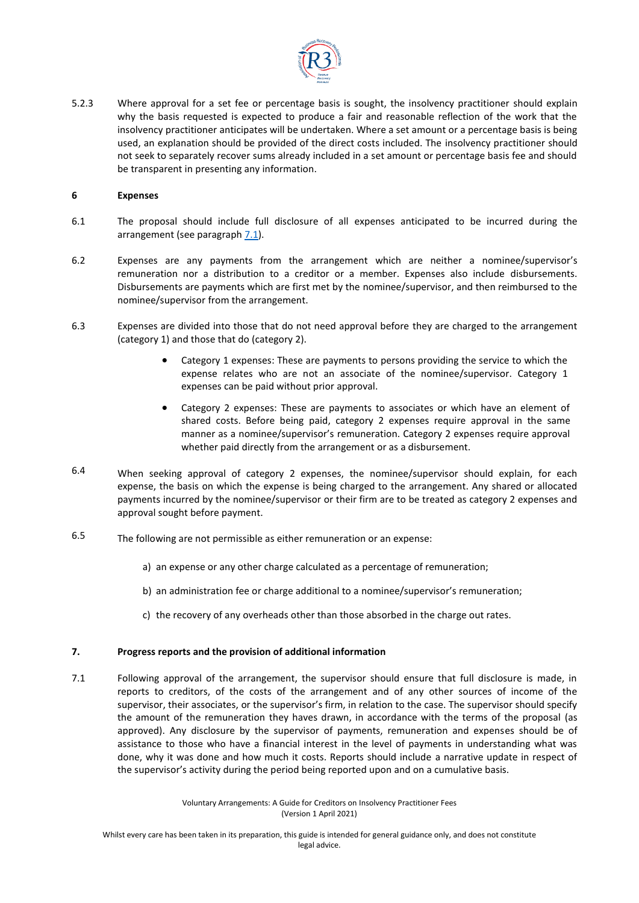

5.2.3 Where approval for a set fee or percentage basis is sought, the insolvency practitioner should explain why the basis requested is expected to produce a fair and reasonable reflection of the work that the insolvency practitioner anticipates will be undertaken. Where a set amount or a percentage basis is being used, an explanation should be provided of the direct costs included. The insolvency practitioner should not seek to separately recover sums already included in a set amount or percentage basis fee and should be transparent in presenting any information.

## **6 Expenses**

- 6.1 The proposal should include full disclosure of all expenses anticipated to be incurred during the arrangement (see paragraph [7.1\)](#page-3-0).
- 6.2 Expenses are any payments from the arrangement which are neither a nominee/supervisor's remuneration nor a distribution to a creditor or a member. Expenses also include disbursements. Disbursements are payments which are first met by the nominee/supervisor, and then reimbursed to the nominee/supervisor from the arrangement.
- 6.3 Expenses are divided into those that do not need approval before they are charged to the arrangement (category 1) and those that do (category 2).
	- Category 1 expenses: These are payments to persons providing the service to which the expense relates who are not an associate of the nominee/supervisor. Category 1 expenses can be paid without prior approval.
	- Category 2 expenses: These are payments to associates or which have an element of shared costs. Before being paid, category 2 expenses require approval in the same manner as a nominee/supervisor's remuneration. Category 2 expenses require approval whether paid directly from the arrangement or as a disbursement.
- 6.4 When seeking approval of category 2 expenses, the nominee/supervisor should explain, for each expense, the basis on which the expense is being charged to the arrangement. Any shared or allocated payments incurred by the nominee/supervisor or their firm are to be treated as category 2 expenses and approval sought before payment.
- 6.5 The following are not permissible as either remuneration or an expense:
	- a) an expense or any other charge calculated as a percentage of remuneration;
	- b) an administration fee or charge additional to a nominee/supervisor's remuneration;
	- c) the recovery of any overheads other than those absorbed in the charge out rates.

# **7. Progress reports and the provision of additional information**

<span id="page-3-0"></span>7.1 Following approval of the arrangement, the supervisor should ensure that full disclosure is made, in reports to creditors, of the costs of the arrangement and of any other sources of income of the supervisor, their associates, or the supervisor's firm, in relation to the case. The supervisor should specify the amount of the remuneration they haves drawn, in accordance with the terms of the proposal (as approved). Any disclosure by the supervisor of payments, remuneration and expenses should be of assistance to those who have a financial interest in the level of payments in understanding what was done, why it was done and how much it costs. Reports should include a narrative update in respect of the supervisor's activity during the period being reported upon and on a cumulative basis.

> Voluntary Arrangements: A Guide for Creditors on Insolvency Practitioner Fees (Version 1 April 2021)

Whilst every care has been taken in its preparation, this guide is intended for general guidance only, and does not constitute legal advice.